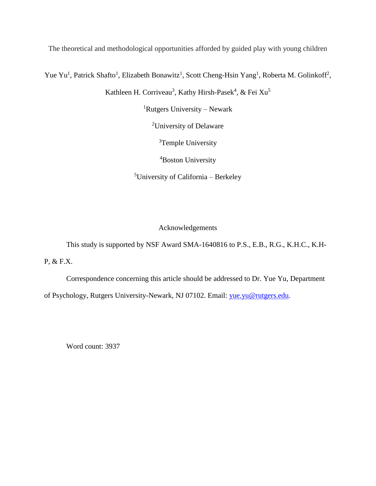The theoretical and methodological opportunities afforded by guided play with young children

Yue Yu<sup>1</sup>, Patrick Shafto<sup>1</sup>, Elizabeth Bonawitz<sup>1</sup>, Scott Cheng-Hsin Yang<sup>1</sup>, Roberta M. Golinkoff<sup>2</sup>,

Kathleen H. Corriveau<sup>3</sup>, Kathy Hirsh-Pasek<sup>4</sup>, & Fei Xu<sup>5</sup>

<sup>1</sup>Rutgers University – Newark

<sup>2</sup>University of Delaware

<sup>3</sup>Temple University

<sup>4</sup>Boston University

<sup>5</sup>University of California – Berkeley

# Acknowledgements

This study is supported by NSF Award SMA-1640816 to P.S., E.B., R.G., K.H.C., K.H-

P, & F.X.

Correspondence concerning this article should be addressed to Dr. Yue Yu, Department of Psychology, Rutgers University-Newark, NJ 07102. Email: [yue.yu@rutgers.edu.](mailto:yue.yu@rutgers.edu)

Word count: 3937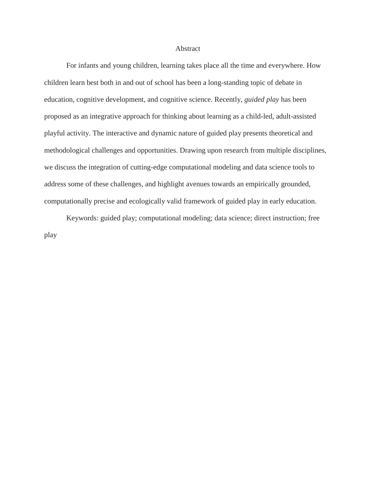#### Abstract

For infants and young children, learning takes place all the time and everywhere. How children learn best both in and out of school has been a long-standing topic of debate in education, cognitive development, and cognitive science. Recently, *guided play* has been proposed as an integrative approach for thinking about learning as a child-led, adult-assisted playful activity. The interactive and dynamic nature of guided play presents theoretical and methodological challenges and opportunities. Drawing upon research from multiple disciplines, we discuss the integration of cutting-edge computational modeling and data science tools to address some of these challenges, and highlight avenues towards an empirically grounded, computationally precise and ecologically valid framework of guided play in early education.

Keywords: guided play; computational modeling; data science; direct instruction; free play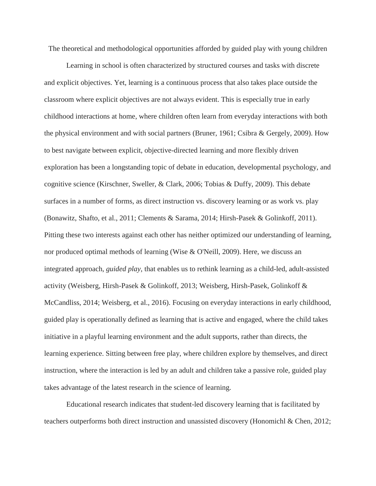The theoretical and methodological opportunities afforded by guided play with young children

Learning in school is often characterized by structured courses and tasks with discrete and explicit objectives. Yet, learning is a continuous process that also takes place outside the classroom where explicit objectives are not always evident. This is especially true in early childhood interactions at home, where children often learn from everyday interactions with both the physical environment and with social partners (Bruner, 1961; Csibra & Gergely, 2009). How to best navigate between explicit, objective-directed learning and more flexibly driven exploration has been a longstanding topic of debate in education, developmental psychology, and cognitive science (Kirschner, Sweller, & Clark, 2006; Tobias & Duffy, 2009). This debate surfaces in a number of forms, as direct instruction vs. discovery learning or as work vs. play (Bonawitz, Shafto, et al., 2011; Clements & Sarama, 2014; Hirsh-Pasek & Golinkoff, 2011). Pitting these two interests against each other has neither optimized our understanding of learning, nor produced optimal methods of learning (Wise & O'Neill, 2009). Here, we discuss an integrated approach, *guided play*, that enables us to rethink learning as a child-led, adult-assisted activity (Weisberg, Hirsh-Pasek & Golinkoff, 2013; Weisberg, Hirsh-Pasek, Golinkoff & McCandliss, 2014; Weisberg, et al., 2016). Focusing on everyday interactions in early childhood, guided play is operationally defined as learning that is active and engaged, where the child takes initiative in a playful learning environment and the adult supports, rather than directs, the learning experience. Sitting between free play, where children explore by themselves, and direct instruction, where the interaction is led by an adult and children take a passive role, guided play takes advantage of the latest research in the science of learning.

Educational research indicates that student-led discovery learning that is facilitated by teachers outperforms both direct instruction and unassisted discovery (Honomichl & Chen, 2012;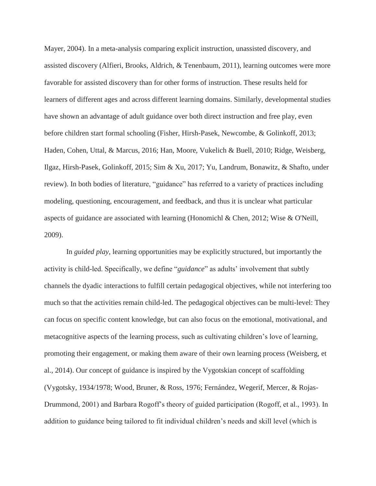Mayer, 2004). In a meta-analysis comparing explicit instruction, unassisted discovery, and assisted discovery (Alfieri, Brooks, Aldrich, & Tenenbaum, 2011), learning outcomes were more favorable for assisted discovery than for other forms of instruction. These results held for learners of different ages and across different learning domains. Similarly, developmental studies have shown an advantage of adult guidance over both direct instruction and free play, even before children start formal schooling (Fisher, Hirsh-Pasek, Newcombe, & Golinkoff, 2013; Haden, Cohen, Uttal, & Marcus, 2016; Han, Moore, Vukelich & Buell, 2010; Ridge, Weisberg, Ilgaz, Hirsh-Pasek, Golinkoff, 2015; Sim & Xu, 2017; Yu, Landrum, Bonawitz, & Shafto, under review). In both bodies of literature, "guidance" has referred to a variety of practices including modeling, questioning, encouragement, and feedback, and thus it is unclear what particular aspects of guidance are associated with learning (Honomichl & Chen, 2012; Wise & O'Neill, 2009).

In *guided play*, learning opportunities may be explicitly structured, but importantly the activity is child-led. Specifically, we define "*guidance*" as adults' involvement that subtly channels the dyadic interactions to fulfill certain pedagogical objectives, while not interfering too much so that the activities remain child-led. The pedagogical objectives can be multi-level: They can focus on specific content knowledge, but can also focus on the emotional, motivational, and metacognitive aspects of the learning process, such as cultivating children's love of learning, promoting their engagement, or making them aware of their own learning process (Weisberg, et al., 2014). Our concept of guidance is inspired by the Vygotskian concept of scaffolding (Vygotsky, 1934/1978; Wood, Bruner, & Ross, 1976; Fernández, Wegerif, Mercer, & Rojas-Drummond, 2001) and Barbara Rogoff's theory of guided participation (Rogoff, et al., 1993). In addition to guidance being tailored to fit individual children's needs and skill level (which is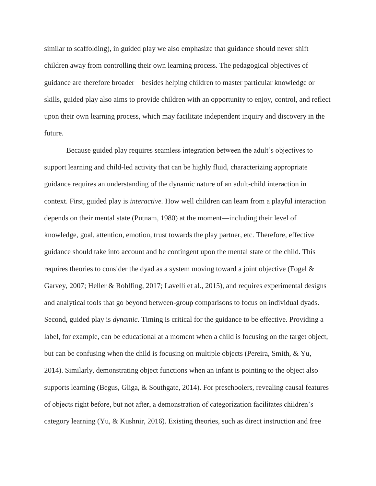similar to scaffolding), in guided play we also emphasize that guidance should never shift children away from controlling their own learning process. The pedagogical objectives of guidance are therefore broader—besides helping children to master particular knowledge or skills, guided play also aims to provide children with an opportunity to enjoy, control, and reflect upon their own learning process, which may facilitate independent inquiry and discovery in the future.

Because guided play requires seamless integration between the adult's objectives to support learning and child-led activity that can be highly fluid, characterizing appropriate guidance requires an understanding of the dynamic nature of an adult-child interaction in context. First, guided play is *interactive.* How well children can learn from a playful interaction depends on their mental state (Putnam, 1980) at the moment—including their level of knowledge, goal, attention, emotion, trust towards the play partner, etc. Therefore, effective guidance should take into account and be contingent upon the mental state of the child. This requires theories to consider the dyad as a system moving toward a joint objective (Fogel  $\&$ Garvey, 2007; Heller & Rohlfing, 2017; Lavelli et al., 2015), and requires experimental designs and analytical tools that go beyond between-group comparisons to focus on individual dyads. Second, guided play is *dynamic*. Timing is critical for the guidance to be effective. Providing a label, for example, can be educational at a moment when a child is focusing on the target object, but can be confusing when the child is focusing on multiple objects (Pereira, Smith, & Yu, 2014). Similarly, demonstrating object functions when an infant is pointing to the object also supports learning (Begus, Gliga, & Southgate, 2014). For preschoolers, revealing causal features of objects right before, but not after, a demonstration of categorization facilitates children's category learning (Yu, & Kushnir, 2016). Existing theories, such as direct instruction and free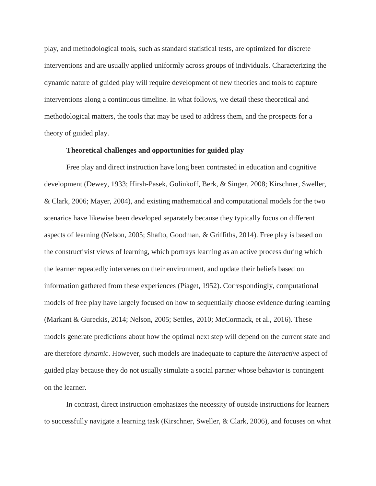play, and methodological tools, such as standard statistical tests, are optimized for discrete interventions and are usually applied uniformly across groups of individuals. Characterizing the dynamic nature of guided play will require development of new theories and tools to capture interventions along a continuous timeline. In what follows, we detail these theoretical and methodological matters, the tools that may be used to address them, and the prospects for a theory of guided play.

# **Theoretical challenges and opportunities for guided play**

Free play and direct instruction have long been contrasted in education and cognitive development (Dewey, 1933; Hirsh-Pasek, Golinkoff, Berk, & Singer, 2008; Kirschner, Sweller, & Clark, 2006; Mayer, 2004), and existing mathematical and computational models for the two scenarios have likewise been developed separately because they typically focus on different aspects of learning (Nelson, 2005; Shafto, Goodman, & Griffiths, 2014). Free play is based on the constructivist views of learning, which portrays learning as an active process during which the learner repeatedly intervenes on their environment, and update their beliefs based on information gathered from these experiences (Piaget, 1952). Correspondingly, computational models of free play have largely focused on how to sequentially choose evidence during learning (Markant & Gureckis, 2014; Nelson, 2005; Settles, 2010; McCormack, et al., 2016). These models generate predictions about how the optimal next step will depend on the current state and are therefore *dynamic*. However, such models are inadequate to capture the *interactive* aspect of guided play because they do not usually simulate a social partner whose behavior is contingent on the learner.

In contrast, direct instruction emphasizes the necessity of outside instructions for learners to successfully navigate a learning task (Kirschner, Sweller, & Clark, 2006), and focuses on what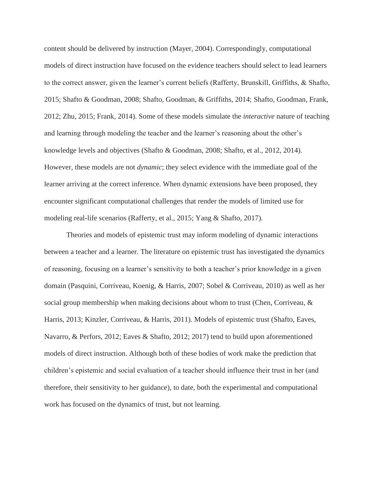content should be delivered by instruction (Mayer, 2004). Correspondingly, computational models of direct instruction have focused on the evidence teachers should select to lead learners to the correct answer, given the learner's current beliefs (Rafferty, Brunskill, Griffiths, & Shafto, 2015; Shafto & Goodman, 2008; Shafto, Goodman, & Griffiths, 2014; Shafto, Goodman, Frank, 2012; Zhu, 2015; Frank, 2014). Some of these models simulate the *interactive* nature of teaching and learning through modeling the teacher and the learner's reasoning about the other's knowledge levels and objectives (Shafto & Goodman, 2008; Shafto, et al., 2012, 2014). However, these models are not *dynamic*; they select evidence with the immediate goal of the learner arriving at the correct inference. When dynamic extensions have been proposed, they encounter significant computational challenges that render the models of limited use for modeling real-life scenarios (Rafferty, et al., 2015; Yang & Shafto, 2017).

Theories and models of epistemic trust may inform modeling of dynamic interactions between a teacher and a learner. The literature on epistemic trust has investigated the dynamics of reasoning, focusing on a learner's sensitivity to both a teacher's prior knowledge in a given domain (Pasquini, Corriveau, Koenig, & Harris, 2007; Sobel & Corriveau, 2010) as well as her social group membership when making decisions about whom to trust (Chen, Corriveau, & Harris, 2013; Kinzler, Corriveau, & Harris, 2011). Models of epistemic trust (Shafto, Eaves, Navarro, & Perfors, 2012; Eaves & Shafto, 2012; 2017) tend to build upon aforementioned models of direct instruction. Although both of these bodies of work make the prediction that children's epistemic and social evaluation of a teacher should influence their trust in her (and therefore, their sensitivity to her guidance), to date, both the experimental and computational work has focused on the dynamics of trust, but not learning.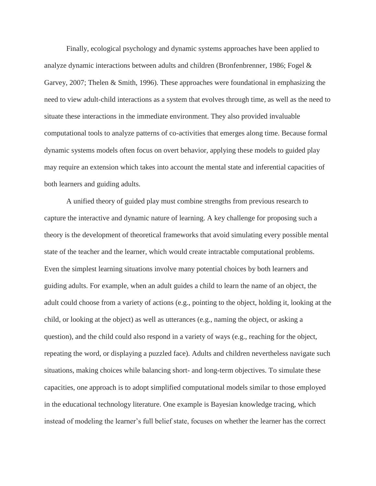Finally, ecological psychology and dynamic systems approaches have been applied to analyze dynamic interactions between adults and children (Bronfenbrenner, 1986; Fogel & Garvey, 2007; Thelen & Smith, 1996). These approaches were foundational in emphasizing the need to view adult-child interactions as a system that evolves through time, as well as the need to situate these interactions in the immediate environment. They also provided invaluable computational tools to analyze patterns of co-activities that emerges along time. Because formal dynamic systems models often focus on overt behavior, applying these models to guided play may require an extension which takes into account the mental state and inferential capacities of both learners and guiding adults.

A unified theory of guided play must combine strengths from previous research to capture the interactive and dynamic nature of learning. A key challenge for proposing such a theory is the development of theoretical frameworks that avoid simulating every possible mental state of the teacher and the learner, which would create intractable computational problems. Even the simplest learning situations involve many potential choices by both learners and guiding adults. For example, when an adult guides a child to learn the name of an object, the adult could choose from a variety of actions (e.g., pointing to the object, holding it, looking at the child, or looking at the object) as well as utterances (e.g., naming the object, or asking a question), and the child could also respond in a variety of ways (e.g., reaching for the object, repeating the word, or displaying a puzzled face). Adults and children nevertheless navigate such situations, making choices while balancing short- and long-term objectives. To simulate these capacities, one approach is to adopt simplified computational models similar to those employed in the educational technology literature. One example is Bayesian knowledge tracing, which instead of modeling the learner's full belief state, focuses on whether the learner has the correct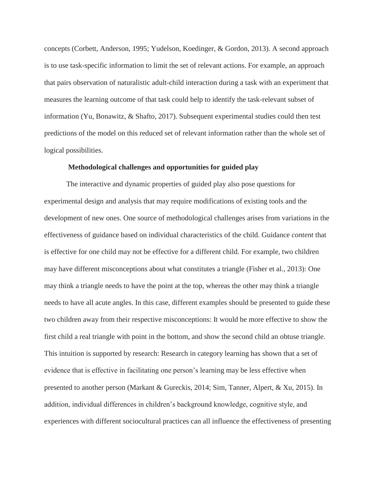concepts (Corbett, Anderson, 1995; Yudelson, Koedinger, & Gordon, 2013). A second approach is to use task-specific information to limit the set of relevant actions. For example, an approach that pairs observation of naturalistic adult-child interaction during a task with an experiment that measures the learning outcome of that task could help to identify the task-relevant subset of information (Yu, Bonawitz, & Shafto, 2017). Subsequent experimental studies could then test predictions of the model on this reduced set of relevant information rather than the whole set of logical possibilities.

#### **Methodological challenges and opportunities for guided play**

The interactive and dynamic properties of guided play also pose questions for experimental design and analysis that may require modifications of existing tools and the development of new ones. One source of methodological challenges arises from variations in the effectiveness of guidance based on individual characteristics of the child. Guidance *content* that is effective for one child may not be effective for a different child. For example, two children may have different misconceptions about what constitutes a triangle (Fisher et al., 2013): One may think a triangle needs to have the point at the top, whereas the other may think a triangle needs to have all acute angles. In this case, different examples should be presented to guide these two children away from their respective misconceptions: It would be more effective to show the first child a real triangle with point in the bottom, and show the second child an obtuse triangle. This intuition is supported by research: Research in category learning has shown that a set of evidence that is effective in facilitating one person's learning may be less effective when presented to another person (Markant & Gureckis, 2014; Sim, Tanner, Alpert, & Xu, 2015). In addition, individual differences in children's background knowledge, cognitive style, and experiences with different sociocultural practices can all influence the effectiveness of presenting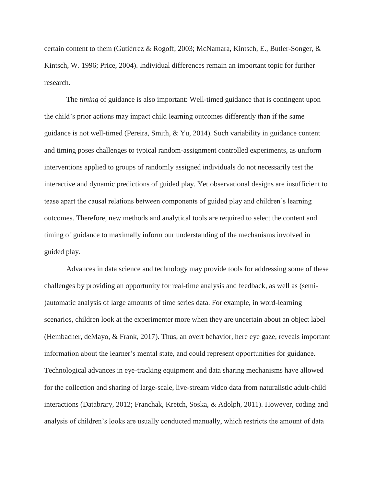certain content to them (Gutiérrez & Rogoff, 2003; McNamara, Kintsch, E., Butler-Songer, & Kintsch, W. 1996; Price, 2004). Individual differences remain an important topic for further research.

The *timing* of guidance is also important: Well-timed guidance that is contingent upon the child's prior actions may impact child learning outcomes differently than if the same guidance is not well-timed (Pereira, Smith, & Yu, 2014). Such variability in guidance content and timing poses challenges to typical random-assignment controlled experiments, as uniform interventions applied to groups of randomly assigned individuals do not necessarily test the interactive and dynamic predictions of guided play. Yet observational designs are insufficient to tease apart the causal relations between components of guided play and children's learning outcomes. Therefore, new methods and analytical tools are required to select the content and timing of guidance to maximally inform our understanding of the mechanisms involved in guided play.

Advances in data science and technology may provide tools for addressing some of these challenges by providing an opportunity for real-time analysis and feedback, as well as (semi- )automatic analysis of large amounts of time series data. For example, in word-learning scenarios, children look at the experimenter more when they are uncertain about an object label (Hembacher, deMayo, & Frank, 2017). Thus, an overt behavior, here eye gaze, reveals important information about the learner's mental state, and could represent opportunities for guidance. Technological advances in eye-tracking equipment and data sharing mechanisms have allowed for the collection and sharing of large-scale, live-stream video data from naturalistic adult-child interactions (Databrary, 2012; Franchak, Kretch, Soska, & Adolph, 2011). However, coding and analysis of children's looks are usually conducted manually, which restricts the amount of data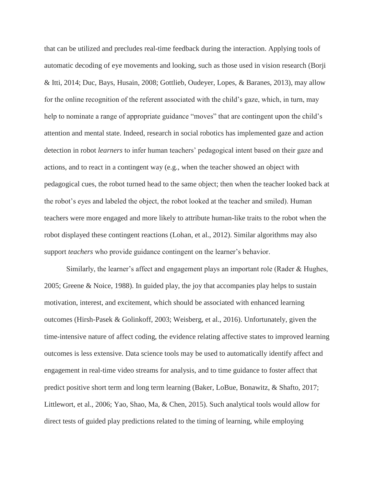that can be utilized and precludes real-time feedback during the interaction. Applying tools of automatic decoding of eye movements and looking, such as those used in vision research (Borji & Itti, 2014; Duc, Bays, Husain, 2008; Gottlieb, Oudeyer, Lopes, & Baranes, 2013), may allow for the online recognition of the referent associated with the child's gaze, which, in turn, may help to nominate a range of appropriate guidance "moves" that are contingent upon the child's attention and mental state. Indeed, research in social robotics has implemented gaze and action detection in robot *learners* to infer human teachers' pedagogical intent based on their gaze and actions, and to react in a contingent way (e.g., when the teacher showed an object with pedagogical cues, the robot turned head to the same object; then when the teacher looked back at the robot's eyes and labeled the object, the robot looked at the teacher and smiled). Human teachers were more engaged and more likely to attribute human-like traits to the robot when the robot displayed these contingent reactions (Lohan, et al., 2012). Similar algorithms may also support *teachers* who provide guidance contingent on the learner's behavior.

Similarly, the learner's affect and engagement plays an important role (Rader & Hughes, 2005; Greene & Noice, 1988). In guided play, the joy that accompanies play helps to sustain motivation, interest, and excitement, which should be associated with enhanced learning outcomes (Hirsh-Pasek & Golinkoff, 2003; Weisberg, et al., 2016). Unfortunately, given the time-intensive nature of affect coding, the evidence relating affective states to improved learning outcomes is less extensive. Data science tools may be used to automatically identify affect and engagement in real-time video streams for analysis, and to time guidance to foster affect that predict positive short term and long term learning (Baker, LoBue, Bonawitz, & Shafto, 2017; Littlewort, et al., 2006; Yao, Shao, Ma, & Chen, 2015). Such analytical tools would allow for direct tests of guided play predictions related to the timing of learning, while employing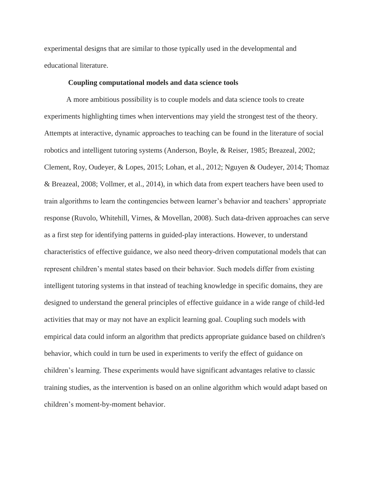experimental designs that are similar to those typically used in the developmental and educational literature.

### **Coupling computational models and data science tools**

A more ambitious possibility is to couple models and data science tools to create experiments highlighting times when interventions may yield the strongest test of the theory. Attempts at interactive, dynamic approaches to teaching can be found in the literature of social robotics and intelligent tutoring systems (Anderson, Boyle, & Reiser, 1985; Breazeal, 2002; Clement, Roy, Oudeyer, & Lopes, 2015; Lohan, et al., 2012; Nguyen & Oudeyer, 2014; Thomaz & Breazeal, 2008; Vollmer, et al., 2014), in which data from expert teachers have been used to train algorithms to learn the contingencies between learner's behavior and teachers' appropriate response (Ruvolo, Whitehill, Virnes, & Movellan, 2008). Such data-driven approaches can serve as a first step for identifying patterns in guided-play interactions. However, to understand characteristics of effective guidance, we also need theory-driven computational models that can represent children's mental states based on their behavior. Such models differ from existing intelligent tutoring systems in that instead of teaching knowledge in specific domains, they are designed to understand the general principles of effective guidance in a wide range of child-led activities that may or may not have an explicit learning goal. Coupling such models with empirical data could inform an algorithm that predicts appropriate guidance based on children's behavior, which could in turn be used in experiments to verify the effect of guidance on children's learning. These experiments would have significant advantages relative to classic training studies, as the intervention is based on an online algorithm which would adapt based on children's moment-by-moment behavior.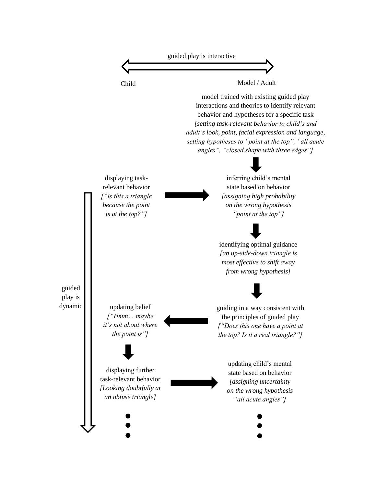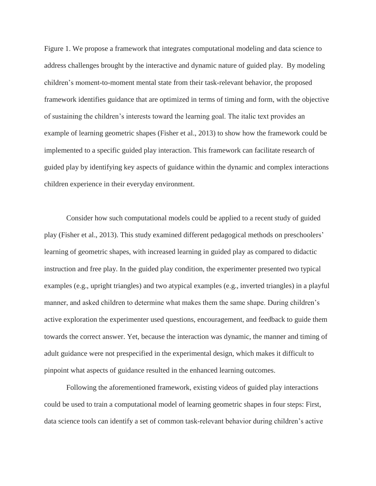Figure 1. We propose a framework that integrates computational modeling and data science to address challenges brought by the interactive and dynamic nature of guided play. By modeling children's moment-to-moment mental state from their task-relevant behavior, the proposed framework identifies guidance that are optimized in terms of timing and form, with the objective of sustaining the children's interests toward the learning goal. The italic text provides an example of learning geometric shapes (Fisher et al., 2013) to show how the framework could be implemented to a specific guided play interaction. This framework can facilitate research of guided play by identifying key aspects of guidance within the dynamic and complex interactions children experience in their everyday environment.

Consider how such computational models could be applied to a recent study of guided play (Fisher et al., 2013). This study examined different pedagogical methods on preschoolers' learning of geometric shapes, with increased learning in guided play as compared to didactic instruction and free play. In the guided play condition, the experimenter presented two typical examples (e.g., upright triangles) and two atypical examples (e.g., inverted triangles) in a playful manner, and asked children to determine what makes them the same shape. During children's active exploration the experimenter used questions, encouragement, and feedback to guide them towards the correct answer. Yet, because the interaction was dynamic, the manner and timing of adult guidance were not prespecified in the experimental design, which makes it difficult to pinpoint what aspects of guidance resulted in the enhanced learning outcomes.

Following the aforementioned framework, existing videos of guided play interactions could be used to train a computational model of learning geometric shapes in four steps: First, data science tools can identify a set of common task-relevant behavior during children's active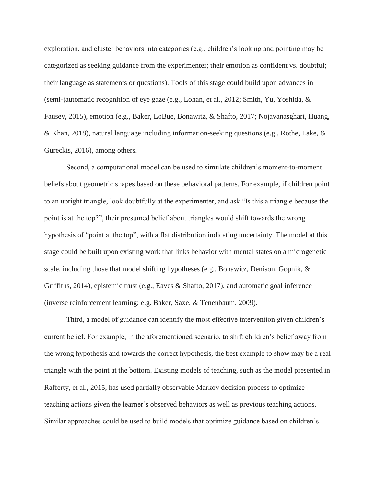exploration, and cluster behaviors into categories (e.g., children's looking and pointing may be categorized as seeking guidance from the experimenter; their emotion as confident vs. doubtful; their language as statements or questions). Tools of this stage could build upon advances in (semi-)automatic recognition of eye gaze (e.g., Lohan, et al., 2012; Smith, Yu, Yoshida, & Fausey, 2015), emotion (e.g., Baker, LoBue, Bonawitz, & Shafto, 2017; Nojavanasghari, Huang, & Khan, 2018), natural language including information-seeking questions (e.g., Rothe, Lake, & Gureckis, 2016), among others.

Second, a computational model can be used to simulate children's moment-to-moment beliefs about geometric shapes based on these behavioral patterns. For example, if children point to an upright triangle, look doubtfully at the experimenter, and ask "Is this a triangle because the point is at the top?", their presumed belief about triangles would shift towards the wrong hypothesis of "point at the top", with a flat distribution indicating uncertainty. The model at this stage could be built upon existing work that links behavior with mental states on a microgenetic scale, including those that model shifting hypotheses (e.g., Bonawitz, Denison, Gopnik, & Griffiths, 2014), epistemic trust (e.g., Eaves & Shafto, 2017), and automatic goal inference (inverse reinforcement learning; e.g. Baker, Saxe, & Tenenbaum, 2009).

Third, a model of guidance can identify the most effective intervention given children's current belief. For example, in the aforementioned scenario, to shift children's belief away from the wrong hypothesis and towards the correct hypothesis, the best example to show may be a real triangle with the point at the bottom. Existing models of teaching, such as the model presented in Rafferty, et al., 2015, has used partially observable Markov decision process to optimize teaching actions given the learner's observed behaviors as well as previous teaching actions. Similar approaches could be used to build models that optimize guidance based on children's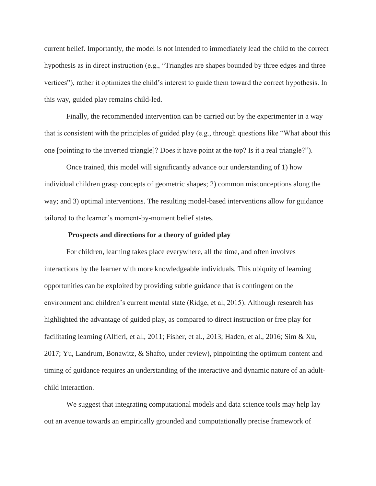current belief. Importantly, the model is not intended to immediately lead the child to the correct hypothesis as in direct instruction (e.g., "Triangles are shapes bounded by three edges and three vertices"), rather it optimizes the child's interest to guide them toward the correct hypothesis. In this way, guided play remains child-led.

Finally, the recommended intervention can be carried out by the experimenter in a way that is consistent with the principles of guided play (e.g., through questions like "What about this one [pointing to the inverted triangle]? Does it have point at the top? Is it a real triangle?").

Once trained, this model will significantly advance our understanding of 1) how individual children grasp concepts of geometric shapes; 2) common misconceptions along the way; and 3) optimal interventions. The resulting model-based interventions allow for guidance tailored to the learner's moment-by-moment belief states.

## **Prospects and directions for a theory of guided play**

For children, learning takes place everywhere, all the time, and often involves interactions by the learner with more knowledgeable individuals. This ubiquity of learning opportunities can be exploited by providing subtle guidance that is contingent on the environment and children's current mental state (Ridge, et al, 2015). Although research has highlighted the advantage of guided play, as compared to direct instruction or free play for facilitating learning (Alfieri, et al., 2011; Fisher, et al., 2013; Haden, et al., 2016; Sim & Xu, 2017; Yu, Landrum, Bonawitz, & Shafto, under review), pinpointing the optimum content and timing of guidance requires an understanding of the interactive and dynamic nature of an adultchild interaction.

We suggest that integrating computational models and data science tools may help lay out an avenue towards an empirically grounded and computationally precise framework of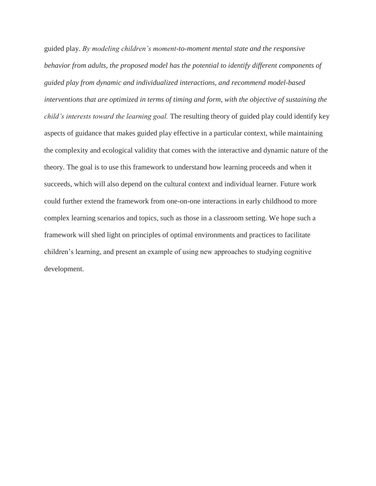guided play. *By modeling children's moment-to-moment mental state and the responsive behavior from adults, the proposed model has the potential to identify different components of guided play from dynamic and individualized interactions, and recommend model-based interventions that are optimized in terms of timing and form, with the objective of sustaining the child's interests toward the learning goal.* The resulting theory of guided play could identify key aspects of guidance that makes guided play effective in a particular context, while maintaining the complexity and ecological validity that comes with the interactive and dynamic nature of the theory. The goal is to use this framework to understand how learning proceeds and when it succeeds, which will also depend on the cultural context and individual learner. Future work could further extend the framework from one-on-one interactions in early childhood to more complex learning scenarios and topics, such as those in a classroom setting. We hope such a framework will shed light on principles of optimal environments and practices to facilitate children's learning, and present an example of using new approaches to studying cognitive development.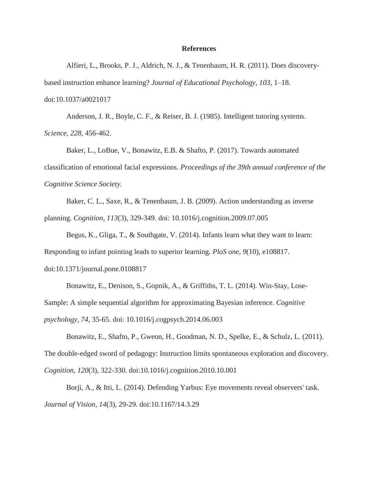### **References**

Alfieri, L., Brooks, P. J., Aldrich, N. J., & Tenenbaum, H. R. (2011). Does discoverybased instruction enhance learning? *Journal of Educational Psychology, 103,* 1–18. doi:10.1037/a0021017

Anderson, J. R., Boyle, C. F., & Reiser, B. J. (1985). Intelligent tutoring systems. *Science*, *228*, 456-462.

Baker, L., LoBue, V., Bonawitz, E.B. & Shafto, P. (2017). Towards automated classification of emotional facial expressions. *Proceedings of the 39th annual conference of the Cognitive Science Society.*

Baker, C. L., Saxe, R., & Tenenbaum, J. B. (2009). Action understanding as inverse planning. *Cognition, 113*(3), 329-349. doi: 10.1016/j.cognition.2009.07.005

Begus, K., Gliga, T., & Southgate, V. (2014). Infants learn what they want to learn: Responding to infant pointing leads to superior learning. *PloS one, 9*(10), e108817. doi:10.1371/journal.pone.0108817

Bonawitz, E., Denison, S., Gopnik, A., & Griffiths, T. L. (2014). Win-Stay, Lose-Sample: A simple sequential algorithm for approximating Bayesian inference. *Cognitive psychology, 74,* 35-65. doi: 10.1016/j.cogpsych.2014.06.003

Bonawitz, E., Shafto, P., Gweon, H., Goodman, N. D., Spelke, E., & Schulz, L. (2011). The double-edged sword of pedagogy: Instruction limits spontaneous exploration and discovery. *Cognition, 120*(3), 322-330. doi:10.1016/j.cognition.2010.10.001

Borji, A., & Itti, L. (2014). Defending Yarbus: Eye movements reveal observers' task. *Journal of Vision, 14*(3), 29-29. doi:10.1167/14.3.29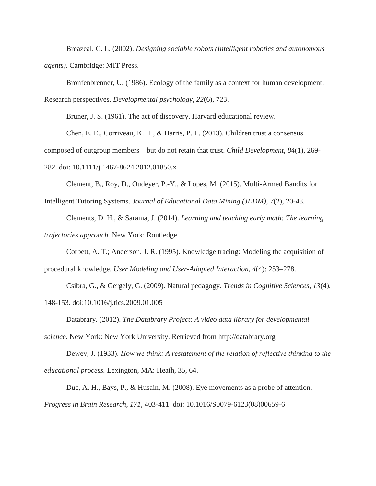Breazeal, C. L. (2002). *Designing sociable robots (Intelligent robotics and autonomous agents).* Cambridge: MIT Press.

Bronfenbrenner, U. (1986). Ecology of the family as a context for human development: Research perspectives. *Developmental psychology, 22*(6), 723.

Bruner, J. S. (1961). The act of discovery. Harvard educational review.

Chen, E. E., Corriveau, K. H., & Harris, P. L. (2013). Children trust a consensus composed of outgroup members—but do not retain that trust. *Child Development, 84*(1), 269- 282. doi: 10.1111/j.1467-8624.2012.01850.x

Clement, B., Roy, D., Oudeyer, P.-Y., & Lopes, M. (2015). Multi-Armed Bandits for Intelligent Tutoring Systems. *Journal of Educational Data Mining (JEDM), 7*(2), 20-48.

Clements, D. H., & Sarama, J. (2014). *Learning and teaching early math: The learning trajectories approach.* New York: Routledge

Corbett, A. T.; Anderson, J. R. (1995). Knowledge tracing: Modeling the acquisition of procedural knowledge. *User Modeling and User-Adapted Interaction, 4*(4): 253–278.

Csibra, G., & Gergely, G. (2009). Natural pedagogy. *Trends in Cognitive Sciences, 13*(4), 148-153. doi:10.1016/j.tics.2009.01.005

Databrary. (2012). *The Databrary Project: A video data library for developmental* 

*science.* New York: New York University. Retrieved from http://databrary.org

Dewey, J. (1933). *How we think: A restatement of the relation of reflective thinking to the educational process.* Lexington, MA: Heath, 35, 64.

Duc, A. H., Bays, P., & Husain, M. (2008). Eye movements as a probe of attention. *Progress in Brain Research, 171,* 403-411. doi: 10.1016/S0079-6123(08)00659-6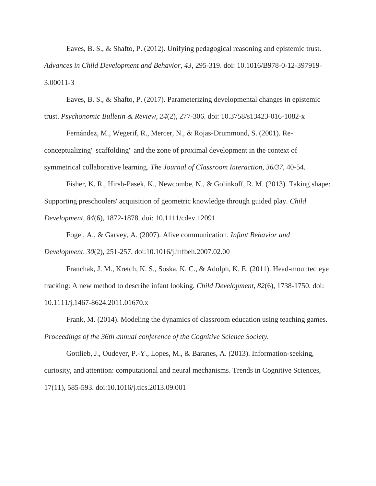Eaves, B. S., & Shafto, P. (2012). Unifying pedagogical reasoning and epistemic trust. *Advances in Child Development and Behavior, 43,* 295-319. doi: 10.1016/B978-0-12-397919- 3.00011-3

Eaves, B. S., & Shafto, P. (2017). Parameterizing developmental changes in epistemic trust. *Psychonomic Bulletin & Review, 24*(2), 277-306. doi: 10.3758/s13423-016-1082-x

Fernández, M., Wegerif, R., Mercer, N., & Rojas-Drummond, S. (2001). Reconceptualizing" scaffolding" and the zone of proximal development in the context of symmetrical collaborative learning. *The Journal of Classroom Interaction, 36/37,* 40-54.

Fisher, K. R., Hirsh-Pasek, K., Newcombe, N., & Golinkoff, R. M. (2013). Taking shape: Supporting preschoolers' acquisition of geometric knowledge through guided play. *Child Development, 84*(6), 1872-1878. doi: 10.1111/cdev.12091

Fogel, A., & Garvey, A. (2007). Alive communication. *Infant Behavior and Development, 30*(2), 251-257. doi:10.1016/j.infbeh.2007.02.00

Franchak, J. M., Kretch, K. S., Soska, K. C., & Adolph, K. E. (2011). Head-mounted eye tracking: A new method to describe infant looking. *Child Development, 82*(6), 1738-1750. doi: 10.1111/j.1467-8624.2011.01670.x

Frank, M. (2014). Modeling the dynamics of classroom education using teaching games. *Proceedings of the 36th annual conference of the Cognitive Science Society.*

Gottlieb, J., Oudeyer, P.-Y., Lopes, M., & Baranes, A. (2013). Information-seeking, curiosity, and attention: computational and neural mechanisms. Trends in Cognitive Sciences, 17(11), 585-593. doi:10.1016/j.tics.2013.09.001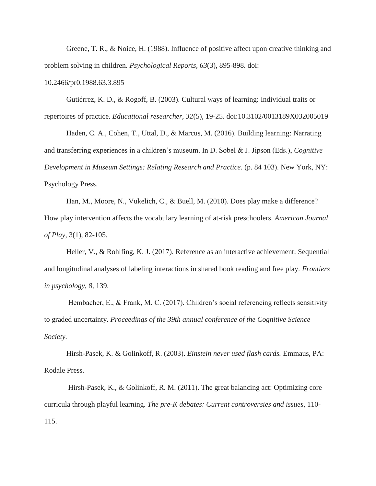Greene, T. R., & Noice, H. (1988). Influence of positive affect upon creative thinking and problem solving in children. *Psychological Reports, 63*(3), 895-898. doi:

10.2466/pr0.1988.63.3.895

Gutiérrez, K. D., & Rogoff, B. (2003). Cultural ways of learning: Individual traits or repertoires of practice. *Educational researcher, 32*(5), 19-25. doi:10.3102/0013189X032005019

Haden, C. A., Cohen, T., Uttal, D., & Marcus, M. (2016). Building learning: Narrating and transferring experiences in a children's museum. In D. Sobel & J. Jipson (Eds.), *Cognitive Development in Museum Settings: Relating Research and Practice.* (p. 84 103). New York, NY: Psychology Press.

Han, M., Moore, N., Vukelich, C., & Buell, M. (2010). Does play make a difference? How play intervention affects the vocabulary learning of at-risk preschoolers. *American Journal of Play,* 3(1), 82-105.

Heller, V., & Rohlfing, K. J. (2017). Reference as an interactive achievement: Sequential and longitudinal analyses of labeling interactions in shared book reading and free play. *Frontiers in psychology, 8,* 139.

Hembacher, E., & Frank, M. C. (2017). Children's social referencing reflects sensitivity to graded uncertainty. *Proceedings of the 39th annual conference of the Cognitive Science Society.*

Hirsh-Pasek, K. & Golinkoff, R. (2003). *Einstein never used flash cards.* Emmaus, PA: Rodale Press.

Hirsh-Pasek, K., & Golinkoff, R. M. (2011). The great balancing act: Optimizing core curricula through playful learning. *The pre-K debates: Current controversies and issues*, 110- 115.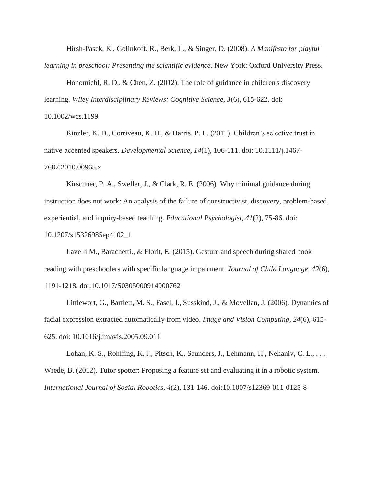Hirsh-Pasek, K., Golinkoff, R., Berk, L., & Singer, D. (2008). *A Manifesto for playful learning in preschool: Presenting the scientific evidence.* New York: Oxford University Press.

Honomichl, R. D., & Chen, Z. (2012). The role of guidance in children's discovery learning. *Wiley Interdisciplinary Reviews: Cognitive Science, 3*(6), 615-622. doi:

#### 10.1002/wcs.1199

Kinzler, K. D., Corriveau, K. H., & Harris, P. L. (2011). Children's selective trust in native‐accented speakers. *Developmental Science, 14*(1), 106-111. doi: 10.1111/j.1467- 7687.2010.00965.x

Kirschner, P. A., Sweller, J., & Clark, R. E. (2006). Why minimal guidance during instruction does not work: An analysis of the failure of constructivist, discovery, problem-based, experiential, and inquiry-based teaching. *Educational Psychologist, 41*(2), 75-86. doi: 10.1207/s15326985ep4102\_1

Lavelli M., Barachetti., & Florit, E. (2015). Gesture and speech during shared book reading with preschoolers with specific language impairment. *Journal of Child Language, 42*(6), 1191-1218. doi:10.1017/S0305000914000762

Littlewort, G., Bartlett, M. S., Fasel, I., Susskind, J., & Movellan, J. (2006). Dynamics of facial expression extracted automatically from video. *Image and Vision Computing, 24*(6), 615- 625. doi: 10.1016/j.imavis.2005.09.011

Lohan, K. S., Rohlfing, K. J., Pitsch, K., Saunders, J., Lehmann, H., Nehaniv, C. L., ... Wrede, B. (2012). Tutor spotter: Proposing a feature set and evaluating it in a robotic system. *International Journal of Social Robotics, 4*(2), 131-146. doi:10.1007/s12369-011-0125-8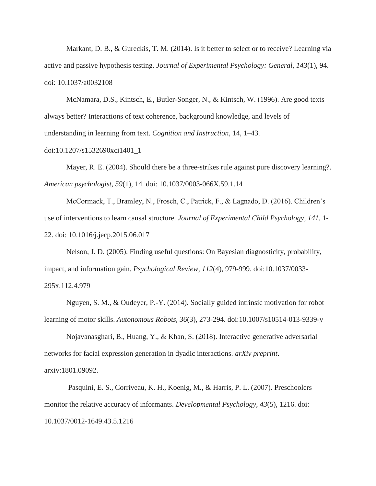Markant, D. B., & Gureckis, T. M. (2014). Is it better to select or to receive? Learning via active and passive hypothesis testing. *Journal of Experimental Psychology: General, 143*(1), 94. doi: 10.1037/a0032108

McNamara, D.S., Kintsch, E., Butler-Songer, N., & Kintsch, W. (1996). Are good texts always better? Interactions of text coherence, background knowledge, and levels of understanding in learning from text. *Cognition and Instruction*, 14, 1–43.

#### doi:10.1207/s1532690xci1401\_1

Mayer, R. E. (2004). Should there be a three-strikes rule against pure discovery learning?. *American psychologist, 59*(1), 14. doi: 10.1037/0003-066X.59.1.14

McCormack, T., Bramley, N., Frosch, C., Patrick, F., & Lagnado, D. (2016). Children's use of interventions to learn causal structure. *Journal of Experimental Child Psychology, 141,* 1- 22. doi: 10.1016/j.jecp.2015.06.017

Nelson, J. D. (2005). Finding useful questions: On Bayesian diagnosticity, probability, impact, and information gain. *Psychological Review, 112*(4), 979-999. doi:10.1037/0033- 295x.112.4.979

Nguyen, S. M., & Oudeyer, P.-Y. (2014). Socially guided intrinsic motivation for robot learning of motor skills. *Autonomous Robots, 36*(3), 273-294. doi:10.1007/s10514-013-9339-y

Nojavanasghari, B., Huang, Y., & Khan, S. (2018). Interactive generative adversarial networks for facial expression generation in dyadic interactions. *arXiv preprint*. arxiv:1801.09092.

Pasquini, E. S., Corriveau, K. H., Koenig, M., & Harris, P. L. (2007). Preschoolers monitor the relative accuracy of informants. *Developmental Psychology, 43*(5), 1216. doi: 10.1037/0012-1649.43.5.1216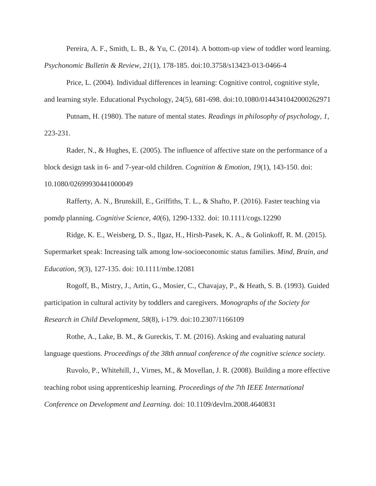Pereira, A. F., Smith, L. B., & Yu, C. (2014). A bottom-up view of toddler word learning.

*Psychonomic Bulletin & Review, 21*(1), 178-185. doi:10.3758/s13423-013-0466-4

Price, L. (2004). Individual differences in learning: Cognitive control, cognitive style, and learning style. Educational Psychology, 24(5), 681-698. doi:10.1080/0144341042000262971

Putnam, H. (1980). The nature of mental states. *Readings in philosophy of psychology, 1,*  223-231.

Rader, N., & Hughes, E. (2005). The influence of affective state on the performance of a block design task in 6- and 7-year-old children. *Cognition & Emotion, 19*(1), 143-150. doi: 10.1080/02699930441000049

Rafferty, A. N., Brunskill, E., Griffiths, T. L., & Shafto, P. (2016). Faster teaching via pomdp planning. *Cognitive Science, 40*(6), 1290-1332. doi: 10.1111/cogs.12290

Ridge, K. E., Weisberg, D. S., Ilgaz, H., Hirsh-Pasek, K. A., & Golinkoff, R. M. (2015). Supermarket speak: Increasing talk among low-socioeconomic status families. *Mind, Brain, and Education, 9*(3), 127-135. doi: 10.1111/mbe.12081

Rogoff, B., Mistry, J., Artin, G., Mosier, C., Chavajay, P., & Heath, S. B. (1993). Guided participation in cultural activity by toddlers and caregivers. *Monographs of the Society for Research in Child Development, 58*(8), i-179. doi:10.2307/1166109

Rothe, A., Lake, B. M., & Gureckis, T. M. (2016). Asking and evaluating natural language questions. *Proceedings of the 38th annual conference of the cognitive science society.*

Ruvolo, P., Whitehill, J., Virnes, M., & Movellan, J. R. (2008). Building a more effective teaching robot using apprenticeship learning. *Proceedings of the 7th IEEE International Conference on Development and Learning.* doi: 10.1109/devlrn.2008.4640831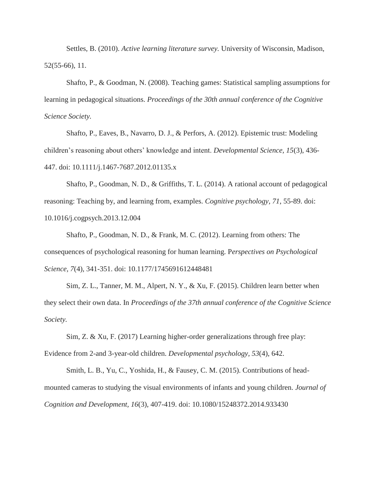Settles, B. (2010). *Active learning literature survey.* University of Wisconsin, Madison, 52(55-66), 11.

Shafto, P., & Goodman, N. (2008). Teaching games: Statistical sampling assumptions for learning in pedagogical situations. *Proceedings of the 30th annual conference of the Cognitive Science Society.*

Shafto, P., Eaves, B., Navarro, D. J., & Perfors, A. (2012). Epistemic trust: Modeling children's reasoning about others' knowledge and intent. *Developmental Science, 15*(3), 436- 447. doi: 10.1111/j.1467-7687.2012.01135.x

Shafto, P., Goodman, N. D., & Griffiths, T. L. (2014). A rational account of pedagogical reasoning: Teaching by, and learning from, examples. *Cognitive psychology, 71*, 55-89. doi: 10.1016/j.cogpsych.2013.12.004

Shafto, P., Goodman, N. D., & Frank, M. C. (2012). Learning from others: The consequences of psychological reasoning for human learning. P*erspectives on Psychological Science, 7*(4), 341-351. doi: 10.1177/1745691612448481

Sim, Z. L., Tanner, M. M., Alpert, N. Y., & Xu, F. (2015). Children learn better when they select their own data. In *Proceedings of the 37th annual conference of the Cognitive Science Society.*

Sim, Z. & Xu, F. (2017) Learning higher-order generalizations through free play: Evidence from 2-and 3-year-old children. *Developmental psychology, 53*(4), 642.

Smith, L. B., Yu, C., Yoshida, H., & Fausey, C. M. (2015). Contributions of headmounted cameras to studying the visual environments of infants and young children. *Journal of Cognition and Development, 16*(3), 407-419. doi: 10.1080/15248372.2014.933430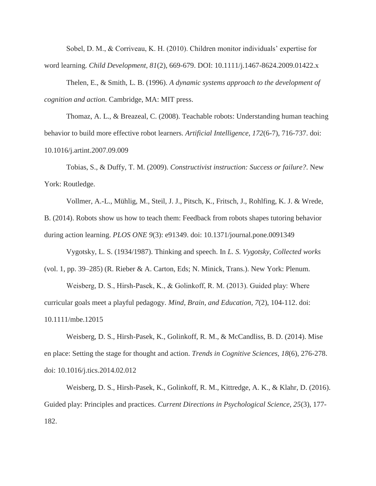Sobel, D. M., & Corriveau, K. H. (2010). Children monitor individuals' expertise for word learning. *Child Development, 81*(2), 669-679. DOI: 10.1111/j.1467-8624.2009.01422.x

Thelen, E., & Smith, L. B. (1996). *A dynamic systems approach to the development of cognition and action.* Cambridge, MA: MIT press.

Thomaz, A. L., & Breazeal, C. (2008). Teachable robots: Understanding human teaching behavior to build more effective robot learners. *Artificial Intelligence, 172*(6-7), 716-737. doi: 10.1016/j.artint.2007.09.009

Tobias, S., & Duffy, T. M. (2009). *Constructivist instruction: Success or failure?*. New York: Routledge.

Vollmer, A.-L., Mühlig, M., Steil, J. J., Pitsch, K., Fritsch, J., Rohlfing, K. J. & Wrede, B. (2014). Robots show us how to teach them: Feedback from robots shapes tutoring behavior during action learning. *PLOS ONE 9*(3): e91349. doi: 10.1371/journal.pone.0091349

Vygotsky, L. S. (1934/1987). Thinking and speech. In *L. S. Vygotsky, Collected works* (vol. 1, pp. 39–285) (R. Rieber & A. Carton, Eds; N. Minick, Trans.). New York: Plenum.

Weisberg, D. S., Hirsh-Pasek, K., & Golinkoff, R. M. (2013). Guided play: Where curricular goals meet a playful pedagogy. *Mind, Brain, and Education, 7*(2), 104-112. doi: 10.1111/mbe.12015

Weisberg, D. S., Hirsh-Pasek, K., Golinkoff, R. M., & McCandliss, B. D. (2014). Mise en place: Setting the stage for thought and action. *Trends in Cognitive Sciences, 18*(6), 276-278. doi: 10.1016/j.tics.2014.02.012

Weisberg, D. S., Hirsh-Pasek, K., Golinkoff, R. M., Kittredge, A. K., & Klahr, D. (2016). Guided play: Principles and practices. *Current Directions in Psychological Science, 25*(3), 177- 182.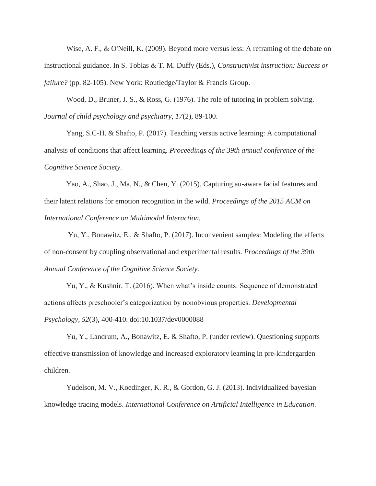Wise, A. F., & O'Neill, K. (2009). Beyond more versus less: A reframing of the debate on instructional guidance. In S. Tobias & T. M. Duffy (Eds.), *Constructivist instruction: Success or failure?* (pp. 82-105). New York: Routledge/Taylor & Francis Group.

Wood, D., Bruner, J. S., & Ross, G. (1976). The role of tutoring in problem solving. *Journal of child psychology and psychiatry*, *17*(2), 89-100.

Yang, S.C-H. & Shafto, P. (2017). Teaching versus active learning: A computational analysis of conditions that affect learning. *Proceedings of the 39th annual conference of the Cognitive Science Society.*

Yao, A., Shao, J., Ma, N., & Chen, Y. (2015). Capturing au-aware facial features and their latent relations for emotion recognition in the wild. *Proceedings of the 2015 ACM on International Conference on Multimodal Interaction.*

Yu, Y., Bonawitz, E., & Shafto, P. (2017). Inconvenient samples: Modeling the effects of non-consent by coupling observational and experimental results. *Proceedings of the 39th Annual Conference of the Cognitive Science Society.*

Yu, Y., & Kushnir, T. (2016). When what's inside counts: Sequence of demonstrated actions affects preschooler's categorization by nonobvious properties. *Developmental Psychology, 52*(3), 400-410. doi:10.1037/dev0000088

Yu, Y., Landrum, A., Bonawitz, E. & Shafto, P. (under review). Questioning supports effective transmission of knowledge and increased exploratory learning in pre-kindergarden children.

Yudelson, M. V., Koedinger, K. R., & Gordon, G. J. (2013). Individualized bayesian knowledge tracing models. *International Conference on Artificial Intelligence in Education*.